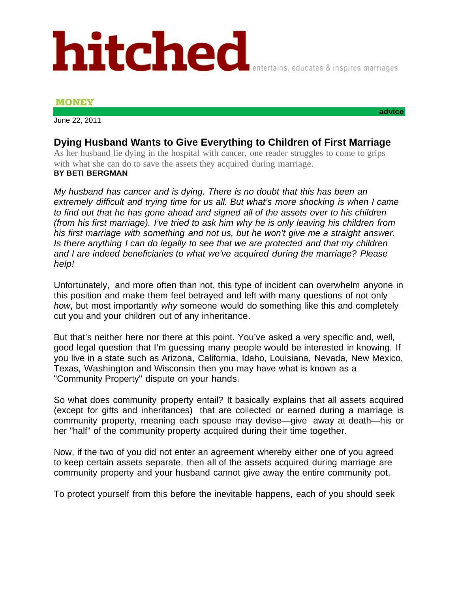## hitched

## **MONEY**

June 22, 2011

## **Dying Husband Wants to Give Everything to Children of First Marriage**

As her husband lie dying in the hospital with cancer, one reader struggles to come to grips with what she can do to save the assets they acquired during marriage.

## **BY BETI BERGMAN**

*My husband has cancer and is dying. There is no doubt that this has been an extremely difficult and trying time for us all. But what's more shocking is when I came to find out that he has gone ahead and signed all of the assets over to his children (from his first marriage). I've tried to ask him why he is only leaving his children from his first marriage with something and not us, but he won't give me a straight answer. Is there anything I can do legally to see that we are protected and that my children and I are indeed beneficiaries to what we've acquired during the marriage? Please help!*

Unfortunately, and more often than not, this type of incident can overwhelm anyone in this position and make them feel betrayed and left with many questions of not only *how*, but most importantly *why* someone would do something like this and completely cut you and your children out of any inheritance.

But that's neither here nor there at this point. You've asked a very specific and, well, good legal question that I'm guessing many people would be interested in knowing. If you live in a state such as Arizona, California, Idaho, Louisiana, Nevada, New Mexico, Texas, Washington and Wisconsin then you may have what is known as a "Community Property" dispute on your hands.

So what does community property entail? It basically explains that all assets acquired (except for gifts and inheritances) that are collected or earned during a marriage is community property, meaning each spouse may devise—give away at death—his or her "half" of the community property acquired during their time together.

Now, if the two of you did not enter an agreement whereby either one of you agreed to keep certain assets separate, then all of the assets acquired during marriage are community property and your husband cannot give away the entire community pot.

To protect yourself from this before the inevitable happens, each of you should seek

**advice** 

entertains, educates & inspires marriages